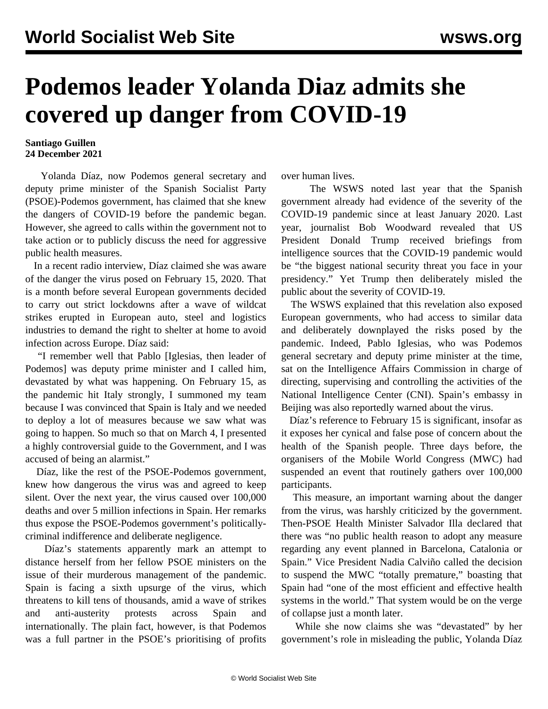## **Podemos leader Yolanda Diaz admits she covered up danger from COVID-19**

## **Santiago Guillen 24 December 2021**

 Yolanda Díaz, now Podemos general secretary and deputy prime minister of the Spanish Socialist Party (PSOE)-Podemos government, has claimed that she knew the dangers of COVID-19 before the pandemic began. However, she agreed to calls within the government not to take action or to publicly discuss the need for aggressive public health measures.

 In a recent radio interview, Díaz claimed she was aware of the danger the virus posed on February 15, 2020. That is a month before several European governments decided to carry out strict lockdowns after a wave of wildcat strikes erupted in European auto, steel and logistics industries to demand the right to shelter at home to avoid infection across Europe. Díaz said:

 "I remember well that Pablo [Iglesias, then leader of Podemos] was deputy prime minister and I called him, devastated by what was happening. On February 15, as the pandemic hit Italy strongly, I summoned my team because I was convinced that Spain is Italy and we needed to deploy a lot of measures because we saw what was going to happen. So much so that on March 4, I presented a highly controversial guide to the Government, and I was accused of being an alarmist."

 Díaz, like the rest of the PSOE-Podemos government, knew how dangerous the virus was and agreed to keep silent. Over the next year, the virus caused over 100,000 deaths and over 5 million infections in Spain. Her remarks thus expose the PSOE-Podemos government's politicallycriminal indifference and deliberate negligence.

 Díaz's statements apparently mark an attempt to distance herself from her fellow PSOE ministers on the issue of their murderous management of the pandemic. Spain is facing a sixth upsurge of the virus, which threatens to kill tens of thousands, amid a wave of strikes and anti-austerity protests across Spain and internationally. The plain fact, however, is that Podemos was a full partner in the PSOE's prioritising of profits

over human lives.

 The WSWS [noted](/en/articles/2020/09/15/pode-s15.html) last year that the Spanish government already had evidence of the severity of the COVID-19 pandemic since at least January 2020. Last year, journalist Bob Woodward revealed that US President Donald Trump received briefings from intelligence sources that the COVID-19 pandemic would be "the biggest national security threat you face in your presidency." Yet Trump then deliberately misled the public about the severity of COVID-19.

 The WSWS explained that this revelation also exposed European governments, who had access to similar data and deliberately downplayed the risks posed by the pandemic. Indeed, Pablo Iglesias, who was Podemos general secretary and deputy prime minister at the time, sat on the Intelligence Affairs Commission in charge of directing, supervising and controlling the activities of the National Intelligence Center (CNI). Spain's embassy in Beijing was also reportedly warned about the virus.

 Díaz's reference to February 15 is significant, insofar as it exposes her cynical and false pose of concern about the health of the Spanish people. Three days before, the organisers of the Mobile World Congress (MWC) had suspended an event that routinely gathers over 100,000 participants.

 This measure, an important warning about the danger from the virus, was harshly criticized by the government. Then-PSOE Health Minister Salvador Illa declared that there was "no public health reason to adopt any measure regarding any event planned in Barcelona, Catalonia or Spain." Vice President Nadia Calviño called the decision to suspend the MWC "totally premature," boasting that Spain had "one of the most efficient and effective health systems in the world." That system would be on the verge of collapse just a month later.

 While she now claims she was "devastated" by her government's role in misleading the public, Yolanda Díaz